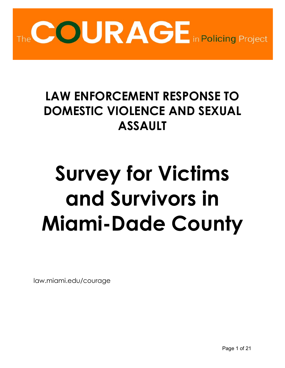

# **LAW ENFORCEMENT RESPONSE TO DOMESTIC VIOLENCE AND SEXUAL ASSAULT**

# **Survey for Victims and Survivors in Miami-Dade County**

law.miami.edu/courage

Page 1 of 21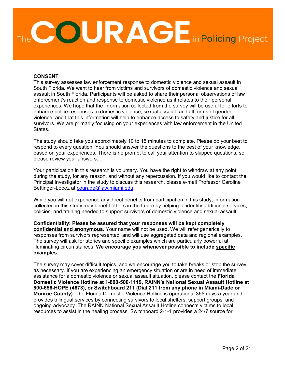

#### **CONSENT**

This survey assesses law enforcement response to domestic violence and sexual assault in South Florida. We want to hear from victims and survivors of domestic violence and sexual assault in South Florida. Participants will be asked to share their personal observations of law enforcement's reaction and response to domestic violence as it relates to their personal experiences. We hope that the information collected from the survey will be useful for efforts to enhance police responses to domestic violence, sexual assault, and all forms of gender violence, and that this information will help to enhance access to safety and justice for all survivors. We are primarily focusing on your experiences with law enforcement in the United States.

The study should take you approximately 10 to 15 minutes to complete. Please do your best to respond to every question. You should answer the questions to the best of your knowledge, based on your experiences. There is no prompt to call your attention to skipped questions, so please review your answers.

Your participation in this research is voluntary. You have the right to withdraw at any point during the study, for any reason, and without any repercussion. If you would like to contact the Principal Investigator in the study to discuss this research, please e-mail Professor Caroline Bettinger-Lopez at [courage@law.miami.edu.](mailto:courage@law.miami.edu)

While you will not experience any direct benefits from participation in this study, information collected in this study may benefit others in the future by helping to identify additional services, policies, and training needed to support survivors of domestic violence and sexual assault.

**Confidentiality: Please be assured that your responses will be kept completely confidential and anonymous.** Your name will not be used. We will refer generically to responses from survivors represented, and will use aggregated data and regional examples. The survey will ask for stories and specific examples which are particularly powerful at illuminating circumstances. **We encourage you whenever possible to include specific examples.**

The survey may cover difficult topics, and we encourage you to take breaks or stop the survey as necessary. If you are experiencing an emergency situation or are in need of immediate assistance for a domestic violence or sexual assault situation, please contact the **Florida Domestic Violence Hotline at 1-800-500-1119, RAINN's National Sexual Assault Hotline at 800-656-HOPE (4673), or Switchboard 211 (Dial 211 from any phone in Miami-Dade or Monroe County).** The Florida Domestic Violence Hotline is operational 365 days a year and provides trilingual services by connecting survivors to local shelters, support groups, and ongoing advocacy. The RAINN National Sexual Assault Hotline connects victims to local resources to assist in the healing process. Switchboard 2-1-1 provides a 24/7 source for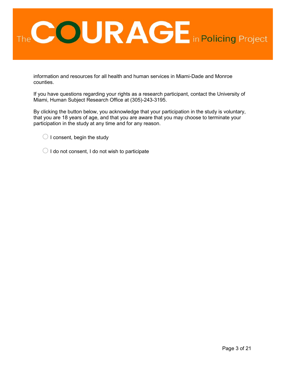

information and resources for all health and human services in Miami-Dade and Monroe counties.

If you have questions regarding your rights as a research participant, contact the University of Miami, Human Subject Research Office at (305)-243-3195.

By clicking the button below, you acknowledge that your participation in the study is voluntary, that you are 18 years of age, and that you are aware that you may choose to terminate your participation in the study at any time and for any reason.

- $\bigcirc$  I consent, begin the study
- $\bigcirc$  I do not consent, I do not wish to participate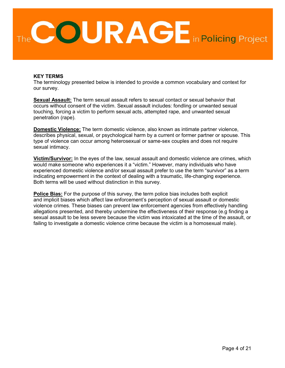

#### **KEY TERMS**

The terminology presented below is intended to provide a common vocabulary and context for our survey.

**Sexual Assault:** The term sexual assault refers to sexual contact or sexual behavior that occurs without consent of the victim. Sexual assault includes: fondling or unwanted sexual touching, forcing a victim to perform sexual acts, attempted rape, and unwanted sexual penetration (rape).

**Domestic Violence:** The term domestic violence, also known as intimate partner violence, describes physical, sexual, or psychological harm by a current or former partner or spouse. This type of violence can occur among heterosexual or same-sex couples and does not require sexual intimacy.

**Victim/Survivor:** In the eyes of the law, sexual assault and domestic violence are crimes, which would make someone who experiences it a "victim." However, many individuals who have experienced domestic violence and/or sexual assault prefer to use the term "survivor" as a term indicating empowerment in the context of dealing with a traumatic, life-changing experience. Both terms will be used without distinction in this survey.

**Police Bias:** For the purpose of this survey, the term police bias includes both explicit and implicit biases which affect law enforcement's perception of sexual assault or domestic violence crimes. These biases can prevent law enforcement agencies from effectively handling allegations presented, and thereby undermine the effectiveness of their response (e.g finding a sexual assault to be less severe because the victim was intoxicated at the time of the assault, or failing to investigate a domestic violence crime because the victim is a homosexual male).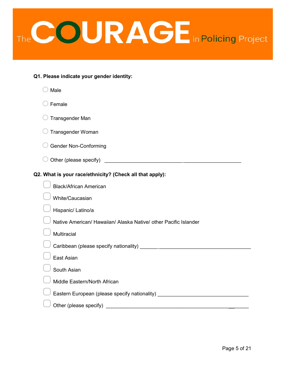

| Q1. Please indicate your gender identity: |  |  |  |
|-------------------------------------------|--|--|--|
|-------------------------------------------|--|--|--|

| Male                                                                                                                                           |
|------------------------------------------------------------------------------------------------------------------------------------------------|
| Female                                                                                                                                         |
| <b>Transgender Man</b>                                                                                                                         |
| Transgender Woman                                                                                                                              |
| <b>Gender Non-Conforming</b>                                                                                                                   |
|                                                                                                                                                |
| Q2. What is your race/ethnicity? (Check all that apply):                                                                                       |
| <b>Black/African American</b>                                                                                                                  |
| White/Caucasian                                                                                                                                |
| Hispanic/ Latino/a                                                                                                                             |
| Native American/ Hawaiian/ Alaska Native/ other Pacific Islander                                                                               |
| Multiracial                                                                                                                                    |
|                                                                                                                                                |
| East Asian                                                                                                                                     |
| South Asian                                                                                                                                    |
| Middle Eastern/North African                                                                                                                   |
| Eastern European (please specify nationality) __________________________________                                                               |
| Other (please specify)<br><u> 1980 - Jan Samuel Barbara, martin da shekara 1980 - An tsa a tsa a tsa a tsa a tsa a tsa a tsa a tsa a tsa a</u> |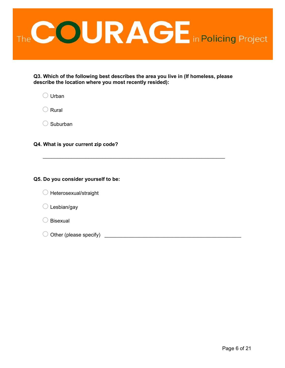

**Q3. Which of the following best describes the area you live in (If homeless, please describe the location where you most recently resided):**

\_\_\_\_\_\_\_\_\_\_\_\_\_\_\_\_\_\_\_\_\_\_\_\_\_\_\_\_\_\_\_\_\_\_\_\_\_\_\_\_\_\_\_\_\_\_\_\_\_\_\_\_\_\_\_\_\_\_\_\_\_\_\_\_

 $\bigcirc$  Urban

 $\bigcirc$  Rural

 $\bigcirc$  Suburban

**Q4. What is your current zip code?**

#### **Q5. Do you consider yourself to be:**

| $\bigcirc$ Heterosexual/straight |  |
|----------------------------------|--|
|----------------------------------|--|

 $\bigcirc$  Lesbian/gay

 $\bigcirc$  Bisexual

 $\bigcirc$  Other (please specify)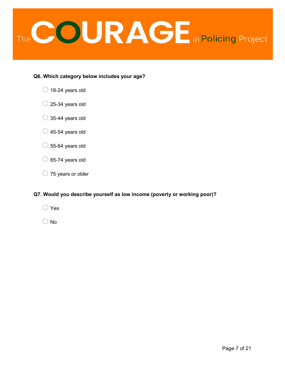

#### **Q6. Which category below includes your age?**

- $\bigcirc$  18-24 years old
- $\bigcirc$  25-34 years old
- $\bigcirc$  35-44 years old
- $\bigcirc$  45-54 years old
- $\circ$  55-64 years old
- $\circ$  65-74 years old
- $\bigcirc$  75 years or older

#### **Q7. Would you describe yourself as low income (poverty or working poor)?**

- $\bigcirc$  Yes
- $\bigcirc$  No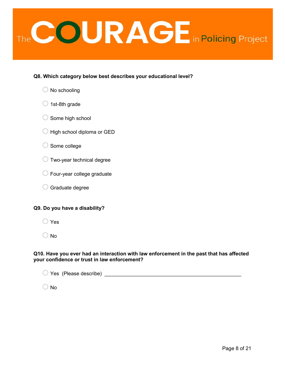

#### **Q8. Which category below best describes your educational level?**

|  |  | $\bigcirc$ No schooling |
|--|--|-------------------------|
|--|--|-------------------------|

- $\bigcirc$  1st-8th grade
- $\bigcirc$  Some high school
- $\bigcirc$  High school diploma or GED
- $\bigcirc$  Some college
- $\bigcirc$  Two-year technical degree
- $\bigcirc$  Four-year college graduate
- $\bigcirc$  Graduate degree

#### **Q9. Do you have a disability?**

 $\bigcirc$  Yes

 $\bigcirc$  No

#### **Q10. Have you ever had an interaction with law enforcement in the past that has affected your confidence or trust in law enforcement?**

| $\bigcirc$ Yes (Please describe) |  |
|----------------------------------|--|
|                                  |  |

 $\bigcirc$  No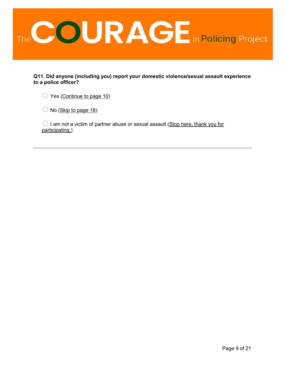

**Q11. Did anyone (including you) report your domestic violence/sexual assault experience to a police officer?**

 $\bigcirc$  Yes (Continue to page 10)

 $\bigcirc$  No (Skip to page 18)

 $\bigcirc$  I am not a victim of partner abuse or sexual assault (Stop here, thank you for participating.)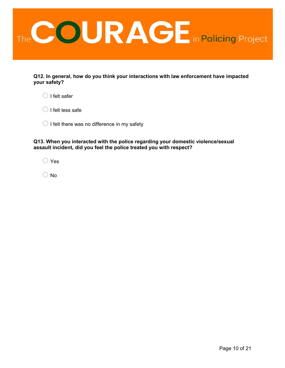

**Q12. In general, how do you think your interactions with law enforcement have impacted your safety?**

 $\bigcirc$  I felt safer

 $\bigcirc$  I felt less safe

 $\bigcirc$  I felt there was no difference in my safety

**Q13. When you interacted with the police regarding your domestic violence/sexual assault incident, did you feel the police treated you with respect?**

o Yes

 $\bigcirc$  No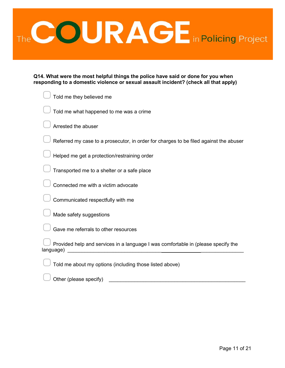

| Q14. What were the most helpful things the police have said or done for you when     |  |  |  |
|--------------------------------------------------------------------------------------|--|--|--|
| responding to a domestic violence or sexual assault incident? (check all that apply) |  |  |  |

| Told me they believed me                                                                       |
|------------------------------------------------------------------------------------------------|
| Told me what happened to me was a crime                                                        |
| Arrested the abuser                                                                            |
| Referred my case to a prosecutor, in order for charges to be filed against the abuser          |
| Helped me get a protection/restraining order                                                   |
| Transported me to a shelter or a safe place                                                    |
| Connected me with a victim advocate                                                            |
| Communicated respectfully with me                                                              |
| Made safety suggestions                                                                        |
| Gave me referrals to other resources                                                           |
| Provided help and services in a language I was comfortable in (please specify the<br>language) |
| Told me about my options (including those listed above)                                        |

Other (please specify)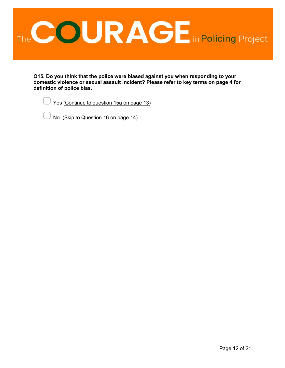

**Q15. Do you think that the police were biased against you when responding to your domestic violence or sexual assault incident? Please refer to key terms on page 4 for definition of police bias.**

Yes (Continue to question 15a on page 13)

▢ No (Skip to Question 16 on page 14)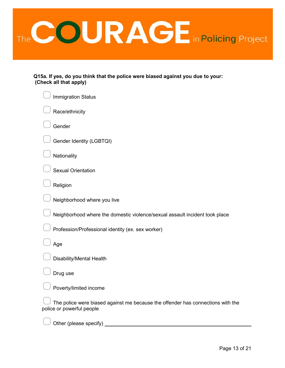

**Q15a. If yes, do you think that the police were biased against you due to your: (Check all that apply)**

| <b>Immigration Status</b>                                                                                    |
|--------------------------------------------------------------------------------------------------------------|
| Race/ethnicity                                                                                               |
| Gender                                                                                                       |
| Gender Identity (LGBTQI)                                                                                     |
| Nationality                                                                                                  |
| <b>Sexual Orientation</b>                                                                                    |
| Religion                                                                                                     |
| Neighborhood where you live                                                                                  |
| Neighborhood where the domestic violence/sexual assault incident took place                                  |
| Profession/Professional identity (ex. sex worker)                                                            |
| Age                                                                                                          |
| Disability/Mental Health                                                                                     |
| Drug use                                                                                                     |
| Poverty/limited income                                                                                       |
| The police were biased against me because the offender has connections with the<br>police or powerful people |
| Other (please specify)                                                                                       |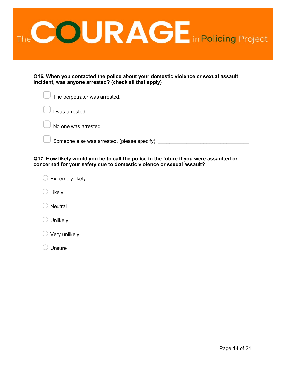

**Q16. When you contacted the police about your domestic violence or sexual assault incident, was anyone arrested? (check all that apply)**

| $\frac{1}{2}$ The perpetrator was arrested. |
|---------------------------------------------|
| I was arrested.                             |
| No one was arrested.                        |
| Someone else was arrested. (please specify) |

**Q17. How likely would you be to call the police in the future if you were assaulted or concerned for your safety due to domestic violence or sexual assault?**

 $\bigcirc$  Extremely likely

 $\bigcirc$  Likely

 $\bigcirc$  Neutral

 $\bigcirc$  Unlikely

 $\bigcirc$  Very unlikely

 $\bigcirc$  Unsure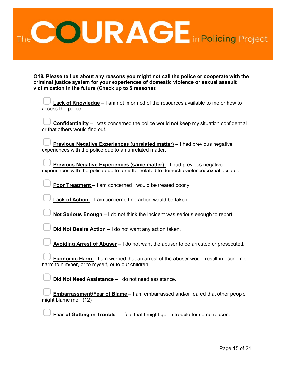

**Q18. Please tell us about any reasons you might not call the police or cooperate with the criminal justice system for your experiences of domestic violence or sexual assault victimization in the future (Check up to 5 reasons):** 

| <b>Lack of Knowledge</b> - I am not informed of the resources available to me or how to<br>access the police.                                                     |
|-------------------------------------------------------------------------------------------------------------------------------------------------------------------|
| <b>Confidentiality</b> $-1$ was concerned the police would not keep my situation confidential<br>or that others would find out.                                   |
| Previous Negative Experiences (unrelated matter) - I had previous negative<br>experiences with the police due to an unrelated matter.                             |
| Previous Negative Experiences (same matter) - I had previous negative<br>experiences with the police due to a matter related to domestic violence/sexual assault. |
| <b>Poor Treatment</b> - I am concerned I would be treated poorly.                                                                                                 |
| <b>Lack of Action</b> – I am concerned no action would be taken.                                                                                                  |
| Not Serious Enough - I do not think the incident was serious enough to report.                                                                                    |
| Did Not Desire Action - I do not want any action taken.                                                                                                           |
| Avoiding Arrest of Abuser – I do not want the abuser to be arrested or prosecuted.                                                                                |
| <b>Economic Harm</b> – I am worried that an arrest of the abuser would result in economic<br>harm to him/her, or to myself, or to our children.                   |
| Did Not Need Assistance - I do not need assistance.                                                                                                               |
| <b>Embarrassment/Fear of Blame</b> - I am embarrassed and/or feared that other people<br>might blame me. (12)                                                     |

**Fear of Getting in Trouble** – I feel that I might get in trouble for some reason.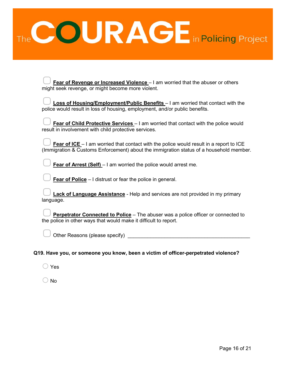

| <b>Fear of Revenge or Increased Violence</b> – I am worried that the abuser or others<br>might seek revenge, or might become more violent.                                                 |
|--------------------------------------------------------------------------------------------------------------------------------------------------------------------------------------------|
| Loss of Housing/Employment/Public Benefits - I am worried that contact with the<br>police would result in loss of housing, employment, and/or public benefits.                             |
| Fear of Child Protective Services - I am worried that contact with the police would<br>result in involvement with child protective services.                                               |
| <b>Fear of ICE</b> $-1$ am worried that contact with the police would result in a report to ICE<br>(Immigration & Customs Enforcement) about the immigration status of a household member. |
| <b>Fear of Arrest (Self)</b> $-1$ am worried the police would arrest me.                                                                                                                   |
| <b>Fear of Police</b> $-1$ distrust or fear the police in general.                                                                                                                         |
| <b>Lack of Language Assistance</b> - Help and services are not provided in my primary<br>language.                                                                                         |
| <b>Perpetrator Connected to Police</b> - The abuser was a police officer or connected to<br>the police in other ways that would make it difficult to report.                               |
| Other Reasons (please specify)                                                                                                                                                             |
|                                                                                                                                                                                            |

### **Q19. Have you, or someone you know, been a victim of officer-perpetrated violence?**

 $\bigcirc$  Yes

 $\bigcirc$  No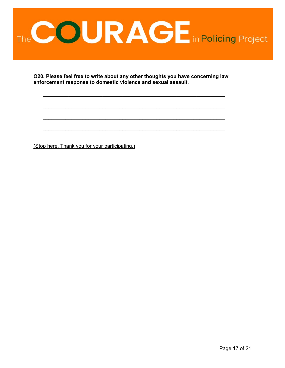

**Q20. Please feel free to write about any other thoughts you have concerning law enforcement response to domestic violence and sexual assault.**

\_\_\_\_\_\_\_\_\_\_\_\_\_\_\_\_\_\_\_\_\_\_\_\_\_\_\_\_\_\_\_\_\_\_\_\_\_\_\_\_\_\_\_\_\_\_\_\_\_\_\_\_\_\_\_\_\_\_\_\_\_\_\_\_

\_\_\_\_\_\_\_\_\_\_\_\_\_\_\_\_\_\_\_\_\_\_\_\_\_\_\_\_\_\_\_\_\_\_\_\_\_\_\_\_\_\_\_\_\_\_\_\_\_\_\_\_\_\_\_\_\_\_\_\_\_\_\_\_

\_\_\_\_\_\_\_\_\_\_\_\_\_\_\_\_\_\_\_\_\_\_\_\_\_\_\_\_\_\_\_\_\_\_\_\_\_\_\_\_\_\_\_\_\_\_\_\_\_\_\_\_\_\_\_\_\_\_\_\_\_\_\_\_

\_\_\_\_\_\_\_\_\_\_\_\_\_\_\_\_\_\_\_\_\_\_\_\_\_\_\_\_\_\_\_\_\_\_\_\_\_\_\_\_\_\_\_\_\_\_\_\_\_\_\_\_\_\_\_\_\_\_\_\_\_\_\_\_

(Stop here. Thank you for your participating.)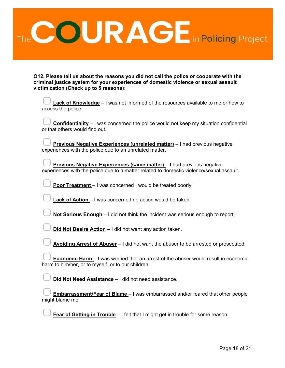

**Q12. Please tell us about the reasons you did not call the police or cooperate with the criminal justice system for your experiences of domestic violence or sexual assault victimization (Check up to 5 reasons):**

| Lack of Knowledge - I was not informed of the resources available to me or how to<br>access the police.                                                           |
|-------------------------------------------------------------------------------------------------------------------------------------------------------------------|
| <b>Confidentiality</b> - I was concerned the police would not keep my situation confidential<br>or that others would find out.                                    |
| Previous Negative Experiences (unrelated matter) - I had previous negative<br>experiences with the police due to an unrelated matter.                             |
| Previous Negative Experiences (same matter) - I had previous negative<br>experiences with the police due to a matter related to domestic violence/sexual assault. |
| Poor Treatment - I was concerned I would be treated poorly.                                                                                                       |
| Lack of Action - I was concerned no action would be taken.                                                                                                        |
| Not Serious Enough - I did not think the incident was serious enough to report.                                                                                   |
| Did Not Desire Action - I did not want any action taken.                                                                                                          |
| Avoiding Arrest of Abuser - I did not want the abuser to be arrested or prosecuted.                                                                               |
| <b>Economic Harm</b> – I was worried that an arrest of the abuser would result in economic<br>harm to him/her, or to myself, or to our children.                  |
| Did Not Need Assistance - I did not need assistance.                                                                                                              |
| <b>Embarrassment/Fear of Blame</b> - I was embarrassed and/or feared that other people<br>might blame me.                                                         |

**Fear of Getting in Trouble** – I felt that I might get in trouble for some reason.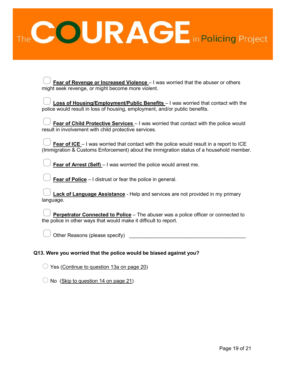

| Fear of Revenge or Increased Violence - I was worried that the abuser or others<br>might seek revenge, or might become more violent.                                                       |
|--------------------------------------------------------------------------------------------------------------------------------------------------------------------------------------------|
| Loss of Housing/Employment/Public Benefits - I was worried that contact with the<br>police would result in loss of housing, employment, and/or public benefits.                            |
| Fear of Child Protective Services - I was worried that contact with the police would<br>result in involvement with child protective services.                                              |
| <b>Fear of ICE</b> – I was worried that contact with the police would result in a report to ICE<br>(Immigration & Customs Enforcement) about the immigration status of a household member. |
| <b>Fear of Arrest (Self)</b> - I was worried the police would arrest me.                                                                                                                   |
| <b>Fear of Police</b> $-1$ distrust or fear the police in general.                                                                                                                         |
| <b>Lack of Language Assistance</b> - Help and services are not provided in my primary<br>language.                                                                                         |
| Perpetrator Connected to Police - The abuser was a police officer or connected to<br>the police in other ways that would make it difficult to report.                                      |
| Other Reasons (please specify)                                                                                                                                                             |
|                                                                                                                                                                                            |

## **Q13. Were you worried that the police would be biased against you?**

- $\bigcirc$  Yes (Continue to question 13a on page 20)
- $\bigcirc$  No (Skip to question 14 on page 21)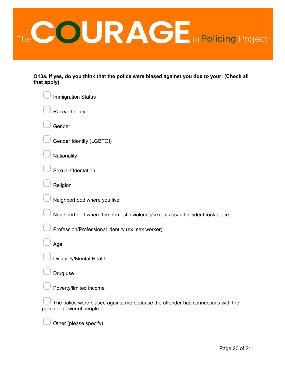

**Q13a. If yes, do you think that the police were biased against you due to your: (Check all that apply)**

| <b>Immigration Status</b>                                                                                    |
|--------------------------------------------------------------------------------------------------------------|
| Race/ethnicity                                                                                               |
| Gender                                                                                                       |
| Gender Identity (LGBTQI)                                                                                     |
| Nationality                                                                                                  |
| <b>Sexual Orientation</b>                                                                                    |
| Religion                                                                                                     |
| Neighborhood where you live                                                                                  |
| Neighborhood where the domestic violence/sexual assault incident took place                                  |
| Profession/Professional identity (ex. sex worker)                                                            |
| Age                                                                                                          |
| Disability/Mental Health                                                                                     |
| Drug use                                                                                                     |
| Poverty/limited income                                                                                       |
| The police were biased against me because the offender has connections with the<br>police or powerful people |
| Other (please specify)                                                                                       |